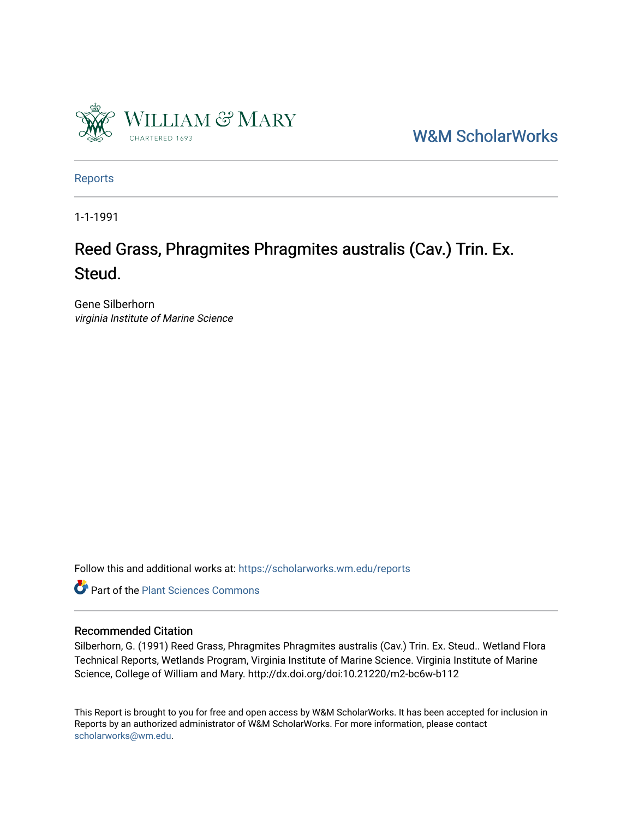

[W&M ScholarWorks](https://scholarworks.wm.edu/) 

[Reports](https://scholarworks.wm.edu/reports)

1-1-1991

### Reed Grass, Phragmites Phragmites australis (Cav.) Trin. Ex. Steud.

Gene Silberhorn virginia Institute of Marine Science

Follow this and additional works at: [https://scholarworks.wm.edu/reports](https://scholarworks.wm.edu/reports?utm_source=scholarworks.wm.edu%2Freports%2F458&utm_medium=PDF&utm_campaign=PDFCoverPages)



#### Recommended Citation

Silberhorn, G. (1991) Reed Grass, Phragmites Phragmites australis (Cav.) Trin. Ex. Steud.. Wetland Flora Technical Reports, Wetlands Program, Virginia Institute of Marine Science. Virginia Institute of Marine Science, College of William and Mary. http://dx.doi.org/doi:10.21220/m2-bc6w-b112

This Report is brought to you for free and open access by W&M ScholarWorks. It has been accepted for inclusion in Reports by an authorized administrator of W&M ScholarWorks. For more information, please contact [scholarworks@wm.edu.](mailto:scholarworks@wm.edu)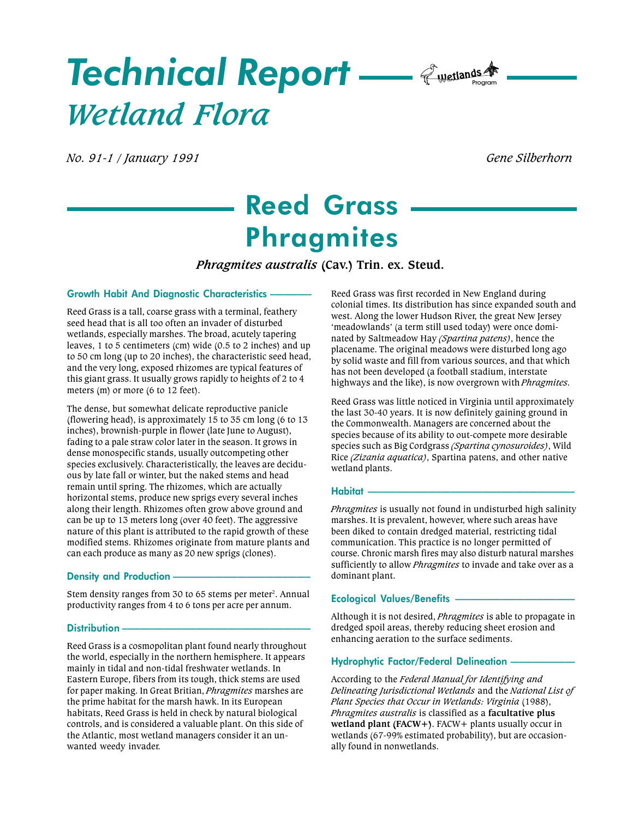# Technical Report — *Cwetlands* A Wetland Flora

No. 91-1 / January 1991 Gene Silberhorn

## Reed Grass **Phragmites**

Phragmites australis (Cav.) Trin. ex. Steud.

#### Growth Habit And Diagnostic Characteristics

Reed Grass is a tall, coarse grass with a terminal, feathery seed head that is all too often an invader of disturbed wetlands, especially marshes. The broad, acutely tapering leaves, 1 to 5 centimeters (cm) wide (0.5 to 2 inches) and up to 50 cm long (up to 20 inches), the characteristic seed head, and the very long, exposed rhizomes are typical features of this giant grass. It usually grows rapidly to heights of 2 to 4 meters (m) or more (6 to 12 feet).

The dense, but somewhat delicate reproductive panicle (flowering head), is approximately 15 to 35 cm long (6 to 13 inches), brownish-purple in flower (late June to August), fading to a pale straw color later in the season. It grows in dense monospecific stands, usually outcompeting other species exclusively. Characteristically, the leaves are deciduous by late fall or winter, but the naked stems and head remain until spring. The rhizomes, which are actually horizontal stems, produce new sprigs every several inches along their length. Rhizomes often grow above ground and can be up to 13 meters long (over 40 feet). The aggressive nature of this plant is attributed to the rapid growth of these modified stems. Rhizomes originate from mature plants and can each produce as many as 20 new sprigs (clones).

#### Density and Production

Stem density ranges from 30 to 65 stems per meter<sup>2</sup>. Annual productivity ranges from 4 to 6 tons per acre per annum.

#### Distribution -

Reed Grass is a cosmopolitan plant found nearly throughout the world, especially in the northern hemisphere. It appears mainly in tidal and non-tidal freshwater wetlands. In Eastern Europe, fibers from its tough, thick stems are used for paper making. In Great Britian, Phragmites marshes are the prime habitat for the marsh hawk. In its European habitats, Reed Grass is held in check by natural biological controls, and is considered a valuable plant. On this side of the Atlantic, most wetland managers consider it an unwanted weedy invader.

Reed Grass was first recorded in New England during colonial times. Its distribution has since expanded south and west. Along the lower Hudson River, the great New Jersey 'meadowlands' (a term still used today) were once dominated by Saltmeadow Hay (Spartina patens), hence the placename. The original meadows were disturbed long ago by solid waste and fill from various sources, and that which has not been developed (a football stadium, interstate highways and the like), is now overgrown with *Phragmites*.

Reed Grass was little noticed in Virginia until approximately the last 30-40 years. It is now definitely gaining ground in the Commonwealth. Managers are concerned about the species because of its ability to out-compete more desirable species such as Big Cordgrass (Spartina cynosuroides), Wild Rice (Zizania aquatica), Spartina patens, and other native wetland plants.

#### Habitat

Phragmites is usually not found in undisturbed high salinity marshes. It is prevalent, however, where such areas have been diked to contain dredged material, restricting tidal communication. This practice is no longer permitted of course. Chronic marsh fires may also disturb natural marshes sufficiently to allow *Phragmites* to invade and take over as a dominant plant.

#### Ecological Values/Benefits

Although it is not desired, *Phragmites* is able to propagate in dredged spoil areas, thereby reducing sheet erosion and enhancing aeration to the surface sediments.

#### Hydrophytic Factor/Federal Delineation

According to the Federal Manual for Identifying and Delineating Jurisdictional Wetlands and the National List of Plant Species that Occur in Wetlands: Virginia (1988), Phragmites australis is classified as a facultative plus wetland plant (FACW+). FACW+ plants usually occur in wetlands (67-99% estimated probability), but are occasionally found in nonwetlands.